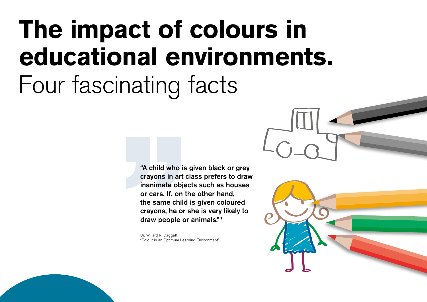## **The impact of colours in educational environments.** Four fascinating facts

"A child who is given black or grey crayons in art class prefers to draw inanimate objects such as houses or cars. If, on the other hand, the same child is given coloured crayons, he or she is very likely to draw people or animals." <sup>1</sup>

Dr. Willard R. Daggett, "Colour in an Optimum Learning Environment"

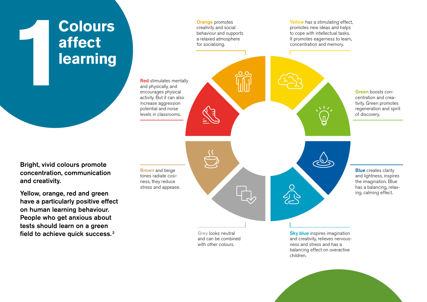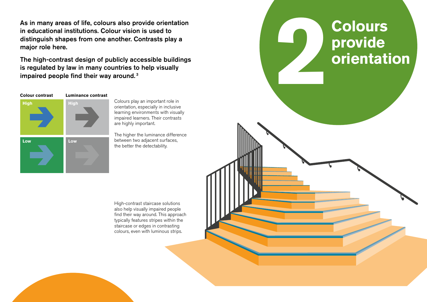in educational institutions. Colour vision is used to distinguish shapes from one another. Contrasts play a major role here.

The high-contrast design of publicly accessible buildings is regulated by law in many countries to help visually impaired people find their way around. <sup>3</sup>



Colours play an important role in orientation, especially in inclusive learning environments with visually impaired learners. Their contrasts are highly important.

The higher the luminance difference between two adjacent surfaces, the better the detectability.

High-contrast staircase solutions also help visually impaired people find their way around. This approach typically features stripes within the staircase or edges in contrasting colours, even with luminous strips.

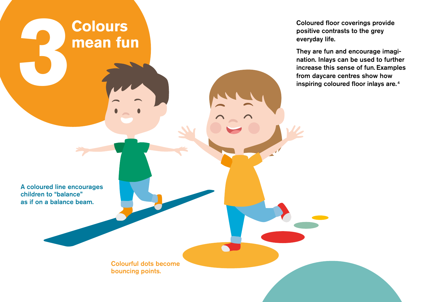**3** Coloured floor coverings provide<br>
positive contrasts to the grey<br>
everyday life.<br>
They are fun and encourage image<br>
mation. Inlays can be used to furth<br>
increase this sense of fun. Example,<br>
from daycare centres show h positive contrasts to the grey everyday life. They are fun and encourage imagination. Inlays can be used to further increase this sense of fun. Examples from daycare centres show how inspiring coloured floor inlays are. <sup>4</sup> Colourful dots become bouncing points. A coloured line encourages children to "balance" as if on a balance beam. **Colours mean fun**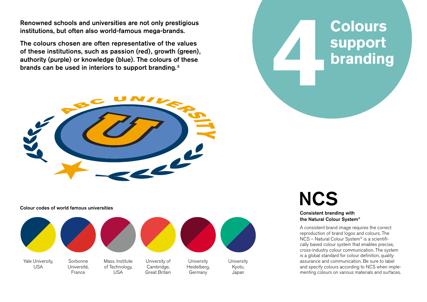institutions, but often also world-famous mega-brands.

Renowned schools and universities are not only prestigious<br>institutions, but often also world-famous mega-brands.<br>The colours chosen are often representative of the values<br>of these institutions, such as passion (red), grow The colours chosen are often representative of the values of these institutions, such as passion (red), growth (green), authority (purple) or knowledge (blue). The colours of these brands can be used in interiors to support branding. <sup>5</sup>



Colour codes of world famous universities



**Colours support branding**

## **NCS**

Consistent branding with the Natural Colour System®

A consistent brand image requires the correct reproduction of brand logos and colours. The NCS – Natural Colour System® is a scientifically based colour system that enables precise, cross-industry colour communication. The system is a global standard for colour definition, quality assurance and communication. Be sure to label and specify colours according to NCS when implementing colours on various materials and surfaces.